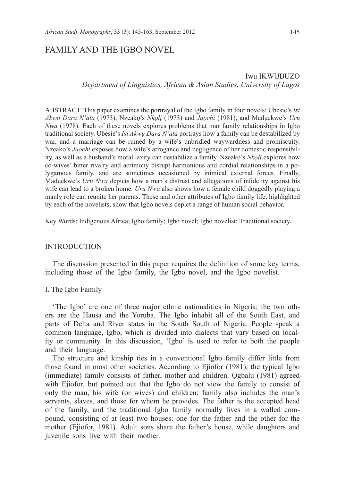# FAMILY AND THE IGBO NOVEL

# Iwu IKWUBUZO *Department of Linguistics, African & Asian Studies, University of Lagos*

ABSTRACT This paper examines the portrayal of the Igbo family in four novels: Ubesie's *Isi Akwụ Dara N'ala* (1973), Nzeakọ's *Nkọlị* (1973) and *Jụọchi* (1981), and Madụekwe's *Uru Nwa* (1978). Each of these novels explores problems that mar family relationships in Igbo traditional society. Ubesie's *Isi Akwụ Dara N'ala* portrays how a family can be destabilized by war, and a marriage can be ruined by a wife's unbridled waywardness and promiscuity. Nzeakọ's *Jụọchi* exposes how a wife's arrogance and negligence of her domestic responsibility, as well as a husband's moral laxity can destabilize a family. Nzeakọ's *Nkọlị* explores how co-wives' bitter rivalry and acrimony disrupt harmonious and cordial relationships in a polygamous family, and are sometimes occasioned by inimical external forces. Finally, Madụekwe's *Uru Nwa* depicts how a man's distrust and allegations of infidelity against his wife can lead to a broken home. *Uru Nwa* also shows how a female child doggedly playing a manly role can reunite her parents. These and other attributes of Igbo family life, highlighted by each of the novelists, show that Igbo novels depict a range of human social behavior.

Key Words: Indigenous Africa; Igbo family; Igbo novel; Igbo novelist; Traditional society.

### INTRODUCTION

The discussion presented in this paper requires the definition of some key terms, including those of the Igbo family, the Igbo novel, and the Igbo novelist.

### I. The Igbo Family

'The Igbo' are one of three major ethnic nationalities in Nigeria; the two others are the Hausa and the Yoruba. The Igbo inhabit all of the South East, and parts of Delta and River states in the South South of Nigeria. People speak a common language, Igbo, which is divided into dialects that vary based on locality or community. In this discussion, 'Igbo' is used to refer to both the people and their language.

The structure and kinship ties in a conventional Igbo family differ little from those found in most other societies. According to Ejiofor (1981), the typical Igbo (immediate) family consists of father, mother and children. Ọgbalu (1981) agreed with Ejiofor, but pointed out that the Igbo do not view the family to consist of only the man, his wife (or wives) and children; family also includes the man's servants, slaves, and those for whom he provides. The father is the accepted head of the family, and the traditional Igbo family normally lives in a walled compound, consisting of at least two houses: one for the father and the other for the mother (Ejiofor, 1981). Adult sons share the father's house, while daughters and juvenile sons live with their mother.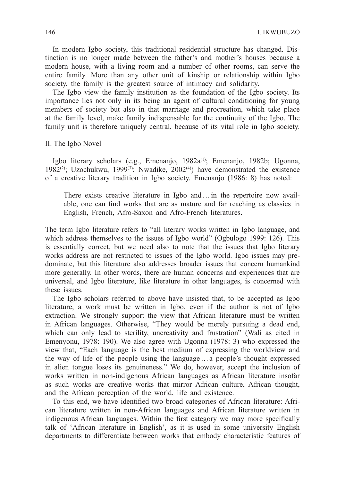In modern Igbo society, this traditional residential structure has changed. Distinction is no longer made between the father's and mother's houses because a modern house, with a living room and a number of other rooms, can serve the entire family. More than any other unit of kinship or relationship within Igbo society, the family is the greatest source of intimacy and solidarity.

The Igbo view the family institution as the foundation of the Igbo society. Its importance lies not only in its being an agent of cultural conditioning for young members of society but also in that marriage and procreation, which take place at the family level, make family indispensable for the continuity of the Igbo. The family unit is therefore uniquely central, because of its vital role in Igbo society.

II. The Igbo Novel

Igbo literary scholars (e.g., Emenanjo, 1982a<sup>(1)</sup>; Emenanjo, 1982b; Ugonna, 1982<sup>(2)</sup>; Uzochukwu, 1999<sup>(3)</sup>; Nwadike, 2002<sup>(4)</sup>) have demonstrated the existence of a creative literary tradition in Igbo society. Emenanjo (1986: 8) has noted:

There exists creative literature in Igbo and ... in the repertoire now available, one can find works that are as mature and far reaching as classics in English, French, Afro-Saxon and Afro-French literatures.

The term Igbo literature refers to "all literary works written in Igbo language, and which address themselves to the issues of Igbo world" (Ogbulogo 1999: 126). This is essentially correct, but we need also to note that the issues that Igbo literary works address are not restricted to issues of the Igbo world. Igbo issues may predominate, but this literature also addresses broader issues that concern humankind more generally. In other words, there are human concerns and experiences that are universal, and Igbo literature, like literature in other languages, is concerned with these issues.

The Igbo scholars referred to above have insisted that, to be accepted as Igbo literature, a work must be written in Igbo, even if the author is not of Igbo extraction. We strongly support the view that African literature must be written in African languages. Otherwise, "They would be merely pursuing a dead end, which can only lead to sterility, uncreativity and frustration" (Wali as cited in Emenyonu, 1978: 190). We also agree with Ugonna (1978: 3) who expressed the view that, "Each language is the best medium of expressing the worldview and the way of life of the people using the language…a people's thought expressed in alien tongue loses its genuineness." We do, however, accept the inclusion of works written in non-indigenous African languages as African literature insofar as such works are creative works that mirror African culture, African thought, and the African perception of the world, life and existence.

To this end, we have identified two broad categories of African literature: African literature written in non-African languages and African literature written in indigenous African languages. Within the first category we may more specifically talk of 'African literature in English', as it is used in some university English departments to differentiate between works that embody characteristic features of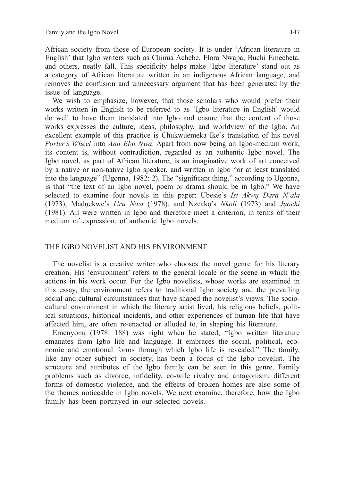African society from those of European society. It is under 'African literature in English' that Igbo writers such as Chinua Achebe, Flora Nwapa, Buchi Emecheta, and others, neatly fall. This specificity helps make 'Igbo literature' stand out as a category of African literature written in an indigenous African language, and removes the confusion and unnecessary argument that has been generated by the issue of language.

We wish to emphasize, however, that those scholars who would prefer their works written in English to be referred to as 'Igbo literature in English' would do well to have them translated into Igbo and ensure that the content of those works expresses the culture, ideas, philosophy, and worldview of the Igbo. An excellent example of this practice is Chukwuemeka Ike's translation of his novel *Porter's Wheel* into *Anu Ebu Nwa*. Apart from now being an Igbo-medium work, its content is, without contradiction, regarded as an authentic Igbo novel. The Igbo novel, as part of African literature, is an imaginative work of art conceived by a native or non-native Igbo speaker, and written in Igbo "or at least translated into the language" (Ugonna, 1982: 2). The "significant thing," according to Ugonna, is that "the text of an Igbo novel, poem or drama should be in Igbo." We have selected to examine four novels in this paper: Ubesie's *Isi Akwụ Dara N'ala*  (1973), Madụekwe's *Uru Nwa* (1978), and Nzeakọ's *Nkọlị* (1973) and *Jụọchi*  (1981). All were written in Igbo and therefore meet a criterion, in terms of their medium of expression, of authentic Igbo novels.

### THE IGBO NOVELIST AND HIS ENVIRONMENT

The novelist is a creative writer who chooses the novel genre for his literary creation. His 'environment' refers to the general locale or the scene in which the actions in his work occur. For the Igbo novelists, whose works are examined in this essay, the environment refers to traditional Igbo society and the prevailing social and cultural circumstances that have shaped the novelist's views. The sociocultural environment in which the literary artist lived, his religious beliefs, political situations, historical incidents, and other experiences of human life that have affected him, are often re-enacted or alluded to, in shaping his literature.

Emenyonu (1978: 188) was right when he stated, "Igbo written literature emanates from Igbo life and language. It embraces the social, political, economic and emotional forms through which Igbo life is revealed." The family, like any other subject in society, has been a focus of the Igbo novelist. The structure and attributes of the Igbo family can be seen in this genre. Family problems such as divorce, infidelity, co-wife rivalry and antagonism, different forms of domestic violence, and the effects of broken homes are also some of the themes noticeable in Igbo novels. We next examine, therefore, how the Igbo family has been portrayed in our selected novels.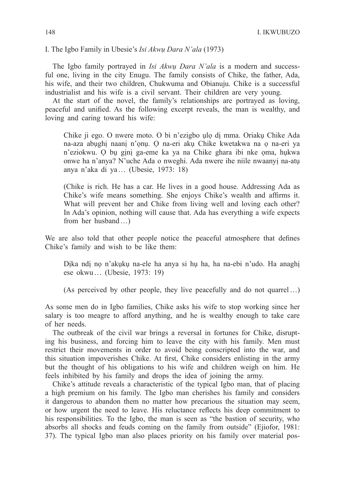I. The Igbo Family in Ubesie's *Isi Akwụ Dara N'ala* (1973)

The Igbo family portrayed in *Isi Akwụ Dara N'ala* is a modern and successful one, living in the city Enugu. The family consists of Chike, the father, Ada, his wife, and their two children, Chukwuma and Obianuju. Chike is a successful industrialist and his wife is a civil servant. Their children are very young.

At the start of the novel, the family's relationships are portrayed as loving, peaceful and unified. As the following excerpt reveals, the man is wealthy, and loving and caring toward his wife:

Chike ji ego. O nwere moto. O bi n'ezigbo ụlọ dị mma. Oriakụ Chike Ada na-aza abụghị naanị n'ọnụ. Ọ na-eri akụ Chike kwetakwa na ọ na-eri ya n'eziokwu. Ọ bụ gịnị ga-eme ka ya na Chike ghara ibi nke ọma, hụkwa onwe ha n'anya? N'uche Ada o nweghi. Ada nwere ihe niile nwaanyị na-atụ anya n'aka di ya… (Ubesie, 1973: 18)

(Chike is rich. He has a car. He lives in a good house. Addressing Ada as Chike's wife means something. She enjoys Chike's wealth and affirms it. What will prevent her and Chike from living well and loving each other? In Ada's opinion, nothing will cause that. Ada has everything a wife expects from her husband…)

We are also told that other people notice the peaceful atmosphere that defines Chike's family and wish to be like them:

Dịka ndị nọ n'akụkụ na-ele ha anya si hụ ha, ha na-ebi n'udo. Ha anaghị ese okwu… (Ubesie, 1973: 19)

(As perceived by other people, they live peacefully and do not quarrel…)

As some men do in Igbo families, Chike asks his wife to stop working since her salary is too meagre to afford anything, and he is wealthy enough to take care of her needs.

The outbreak of the civil war brings a reversal in fortunes for Chike, disrupting his business, and forcing him to leave the city with his family. Men must restrict their movements in order to avoid being conscripted into the war, and this situation impoverishes Chike. At first, Chike considers enlisting in the army but the thought of his obligations to his wife and children weigh on him. He feels inhibited by his family and drops the idea of joining the army.

Chike's attitude reveals a characteristic of the typical Igbo man, that of placing a high premium on his family. The Igbo man cherishes his family and considers it dangerous to abandon them no matter how precarious the situation may seem, or how urgent the need to leave. His reluctance reflects his deep commitment to his responsibilities. To the Igbo, the man is seen as "the bastion of security, who absorbs all shocks and feuds coming on the family from outside" (Ejiofor, 1981: 37). The typical Igbo man also places priority on his family over material pos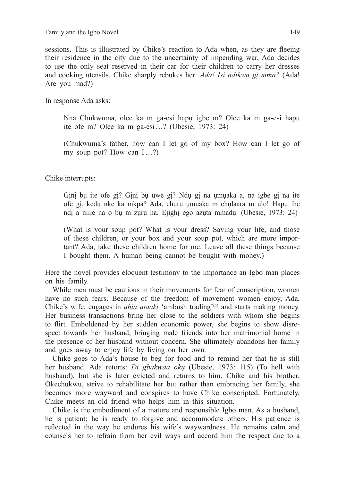sessions. This is illustrated by Chike's reaction to Ada when, as they are fleeing their residence in the city due to the uncertainty of impending war, Ada decides to use the only seat reserved in their car for their children to carry her dresses and cooking utensils. Chike sharply rebukes her: *Ada! Isi adịkwa gị mma?* (Ada! Are you mad?)

In response Ada asks:

Nna Chukwuma, olee ka m ga-esi hapụ igbe m? Olee ka m ga-esi hapu ite ofe m? Olee ka m ga-esi…? (Ubesie, 1973: 24)

(Chukwuma's father, how can I let go of my box? How can I let go of my soup pot? How can I…?)

Chike interrupts:

Gịnị bụ ite ofe gị? Gịnị bụ uwe gị? Ndụ gị na ụmụaka a, na igbe gị na ite ofe gị, kedu nke ka mkpa? Ada, chụrụ ụmụaka m chụlaara m ụlọ! Hapụ ihe ndị a niile na ọ bụ m zụrụ ha. Ejighị ego azụta mmadụ. (Ubesie, 1973: 24)

(What is your soup pot? What is your dress? Saving your life, and those of these children, or your box and your soup pot, which are more important? Ada, take these children home for me. Leave all these things because I bought them. A human being cannot be bought with money.)

Here the novel provides eloquent testimony to the importance an Igbo man places on his family.

While men must be cautious in their movements for fear of conscription, women have no such fears. Because of the freedom of movement women enjoy, Ada, Chike's wife, engages in *ahia ataaki* 'ambush trading'<sup>(5)</sup> and starts making money. Her business transactions bring her close to the soldiers with whom she begins to flirt. Emboldened by her sudden economic power, she begins to show disrespect towards her husband, bringing male friends into her matrimonial home in the presence of her husband without concern. She ultimately abandons her family and goes away to enjoy life by living on her own.

Chike goes to Ada's house to beg for food and to remind her that he is still her husband. Ada retorts: *Di gbakwaa ọkụ* (Ubesie, 1973: 115) (To hell with husband), but she is later evicted and returns to him. Chike and his brother, Okechukwu, strive to rehabilitate her but rather than embracing her family, she becomes more wayward and conspires to have Chike conscripted. Fortunately, Chike meets an old friend who helps him in this situation.

Chike is the embodiment of a mature and responsible Igbo man. As a husband, he is patient; he is ready to forgive and accommodate others. His patience is reflected in the way he endures his wife's waywardness. He remains calm and counsels her to refrain from her evil ways and accord him the respect due to a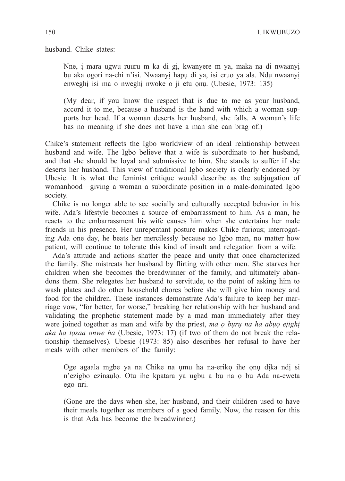husband. Chike states:

Nne, ị mara ugwu ruuru m ka di gị, kwanyere m ya, maka na di nwaanyị bụ aka ogori na-ehi n'isi. Nwaanyị hapụ di ya, isi eruo ya ala. Ndụ nwaanyị enweghị isi ma o nweghị nwoke o ji etu ọnụ. (Ubesie, 1973: 135)

(My dear, if you know the respect that is due to me as your husband, accord it to me, because a husband is the hand with which a woman supports her head. If a woman deserts her husband, she falls. A woman's life has no meaning if she does not have a man she can brag of.)

Chike's statement reflects the Igbo worldview of an ideal relationship between husband and wife. The Igbo believe that a wife is subordinate to her husband, and that she should be loyal and submissive to him. She stands to suffer if she deserts her husband. This view of traditional Igbo society is clearly endorsed by Ubesie. It is what the feminist critique would describe as the subjugation of womanhood—giving a woman a subordinate position in a male-dominated Igbo society.

Chike is no longer able to see socially and culturally accepted behavior in his wife. Ada's lifestyle becomes a source of embarrassment to him. As a man, he reacts to the embarrassment his wife causes him when she entertains her male friends in his presence. Her unrepentant posture makes Chike furious; interrogating Ada one day, he beats her mercilessly because no Igbo man, no matter how patient, will continue to tolerate this kind of insult and relegation from a wife.

Ada's attitude and actions shatter the peace and unity that once characterized the family. She mistreats her husband by flirting with other men. She starves her children when she becomes the breadwinner of the family, and ultimately abandons them. She relegates her husband to servitude, to the point of asking him to wash plates and do other household chores before she will give him money and food for the children. These instances demonstrate Ada's failure to keep her marriage vow, "for better, for worse," breaking her relationship with her husband and validating the prophetic statement made by a mad man immediately after they were joined together as man and wife by the priest, *ma ọ bụrụ na ha abụọ ejighị aka ha tọsaa onwe ha* (Ubesie, 1973: 17) (if two of them do not break the relationship themselves). Ubesie (1973: 85) also describes her refusal to have her meals with other members of the family:

Oge agaala mgbe ya na Chike na ụmu ha na-erikọ ihe ọnụ dịka ndị si n'ezigbo ezinaụlọ. Otu ihe kpatara ya ugbu a bụ na ọ bu Ada na-eweta ego nri.

(Gone are the days when she, her husband, and their children used to have their meals together as members of a good family. Now, the reason for this is that Ada has become the breadwinner.)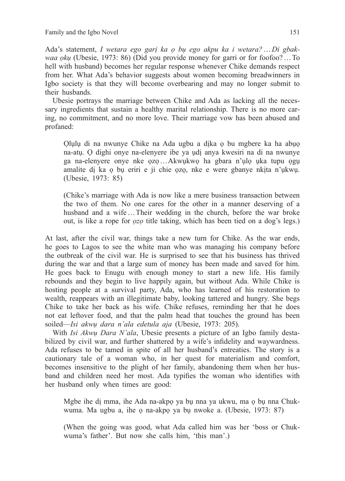Ada's statement, *I wetara ego garị ka ọ bụ ego akpu ka i wetara?*…*Di gbakwaa ọkụ* (Ubesie, 1973: 86) (Did you provide money for garri or for foofoo?…To hell with husband) becomes her regular response whenever Chike demands respect from her. What Ada's behavior suggests about women becoming breadwinners in Igbo society is that they will become overbearing and may no longer submit to their husbands.

Ubesie portrays the marriage between Chike and Ada as lacking all the necessary ingredients that sustain a healthy marital relationship. There is no more caring, no commitment, and no more love. Their marriage vow has been abused and profaned:

Ọlụlụ di na nwunye Chike na Ada ugbu a dịka ọ bu mgbere ka ha abụọ na-atụ. Ọ dighi onye na-elenyere ibe ya ụdị anya kwesiri na di na nwunye ga na-elenyere onye nke ọzọ …Akwụkwọ ha gbara n'ụlọ ụka tupu ọgụ amalite dị ka ọ bụ eriri e ji chie ọzọ, nke e were gbanye nkịta n'ụkwụ. (Ubesie, 1973: 85)

(Chike's marriage with Ada is now like a mere business transaction between the two of them. No one cares for the other in a manner deserving of a husband and a wife…Their wedding in the church, before the war broke out, is like a rope for *ọzọ* title taking, which has been tied on a dog's legs.)

At last, after the civil war, things take a new turn for Chike. As the war ends, he goes to Lagos to see the white man who was managing his company before the outbreak of the civil war. He is surprised to see that his business has thrived during the war and that a large sum of money has been made and saved for him. He goes back to Enugu with enough money to start a new life. His family rebounds and they begin to live happily again, but without Ada. While Chike is hosting people at a survival party, Ada, who has learned of his restoration to wealth, reappears with an illegitimate baby, looking tattered and hungry. She begs Chike to take her back as his wife. Chike refuses, reminding her that he does not eat leftover food, and that the palm head that touches the ground has been soiled—*Isi akwụ dara n'ala edetula aja* (Ubesie, 1973: 205).

With *Isi Akwụ Dara N'ala*, Ubesie presents a picture of an Igbo family destabilized by civil war, and further shattered by a wife's infidelity and waywardness. Ada refuses to be tamed in spite of all her husband's entreaties. The story is a cautionary tale of a woman who, in her quest for materialism and comfort, becomes insensitive to the plight of her family, abandoning them when her husband and children need her most. Ada typifies the woman who identifies with her husband only when times are good:

Mgbe ihe dị mma, ihe Ada na-akpọ ya bụ nna ya ukwu, ma ọ bụ nna Chukwuma. Ma ugbu a, ihe ọ na-akpọ ya bụ nwoke a. (Ubesie, 1973: 87)

(When the going was good, what Ada called him was her 'boss or Chukwuma's father'. But now she calls him, 'this man'.)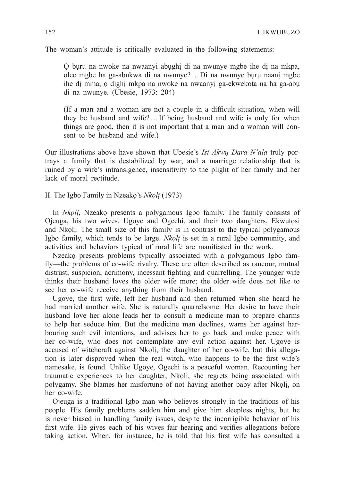The woman's attitude is critically evaluated in the following statements:

Ọ bụru na nwoke na nwaanyi abụghị di na nwunye mgbe ihe dị na mkpa, olee mgbe ha ga-abukwa di na nwunye?…Di na nwunye bụrụ naanị mgbe ihe dị mma, ọ dighị mkpa na nwoke na nwaanyị ga-ekwekota na ha ga-abụ di na nwunye. (Ubesie, 1973: 204)

(If a man and a woman are not a couple in a difficult situation, when will they be husband and wife?…If being husband and wife is only for when things are good, then it is not important that a man and a woman will consent to be husband and wife.)

Our illustrations above have shown that Ubesie's *Isi Akwụ Dara N'ala* truly portrays a family that is destabilized by war, and a marriage relationship that is ruined by a wife's intransigence, insensitivity to the plight of her family and her lack of moral rectitude.

II. The Igbo Family in Nzeakọ's *Nkọlị* (1973)

In *Nkoli*, Nzeako presents a polygamous Igbo family. The family consists of Ojeuga, his two wives, Ugoye and Ogechi, and their two daughters, Ekwutọsị and Nkoli. The small size of this family is in contrast to the typical polygamous Igbo family, which tends to be large. *Nkọlị* is set in a rural Igbo community, and activities and behaviors typical of rural life are manifested in the work.

Nzeako presents problems typically associated with a polygamous Igbo family—the problems of co-wife rivalry. These are often described as rancour, mutual distrust, suspicion, acrimony, incessant fighting and quarrelling. The younger wife thinks their husband loves the older wife more; the older wife does not like to see her co-wife receive anything from their husband.

Ugoye, the first wife, left her husband and then returned when she heard he had married another wife. She is naturally quarrelsome. Her desire to have their husband love her alone leads her to consult a medicine man to prepare charms to help her seduce him. But the medicine man declines, warns her against harbouring such evil intentions, and advises her to go back and make peace with her co-wife, who does not contemplate any evil action against her. Ugoye is accused of witchcraft against Nkoli, the daughter of her co-wife, but this allegation is later disproved when the real witch, who happens to be the first wife's namesake, is found. Unlike Ugoye, Ogechi is a peaceful woman. Recounting her traumatic experiences to her daughter, Nkọlị, she regrets being associated with polygamy. She blames her misfortune of not having another baby after Nkọlị, on her co-wife.

Ojeuga is a traditional Igbo man who believes strongly in the traditions of his people. His family problems sadden him and give him sleepless nights, but he is never biased in handling family issues, despite the incorrigible behavior of his first wife. He gives each of his wives fair hearing and verifies allegations before taking action. When, for instance, he is told that his first wife has consulted a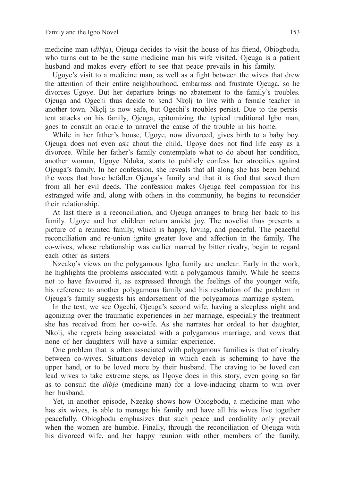medicine man (*dibịa*), Ojeuga decides to visit the house of his friend, Obiogbodu, who turns out to be the same medicine man his wife visited. Ojeuga is a patient husband and makes every effort to see that peace prevails in his family.

Ugoye's visit to a medicine man, as well as a fight between the wives that drew the attention of their entire neighbourhood, embarrass and frustrate Ojeuga, so he divorces Ugoye. But her departure brings no abatement to the family's troubles. Ojeuga and Ogechi thus decide to send Nkọlị to live with a female teacher in another town. Nkọlị is now safe, but Ogechi's troubles persist. Due to the persistent attacks on his family, Ojeuga, epitomizing the typical traditional Igbo man, goes to consult an oracle to unravel the cause of the trouble in his home.

While in her father's house, Ugoye, now divorced, gives birth to a baby boy. Ojeuga does not even ask about the child. Ugoye does not find life easy as a divorcee. While her father's family contemplate what to do about her condition, another woman, Ugoye Nduka, starts to publicly confess her atrocities against Ojeuga's family. In her confession, she reveals that all along she has been behind the woes that have befallen Ojeuga's family and that it is God that saved them from all her evil deeds. The confession makes Ojeuga feel compassion for his estranged wife and, along with others in the community, he begins to reconsider their relationship.

At last there is a reconciliation, and Ojeuga arranges to bring her back to his family. Ugoye and her children return amidst joy. The novelist thus presents a picture of a reunited family, which is happy, loving, and peaceful. The peaceful reconciliation and re-union ignite greater love and affection in the family. The co-wives, whose relationship was earlier marred by bitter rivalry, begin to regard each other as sisters.

Nzeako's views on the polygamous Igbo family are unclear. Early in the work, he highlights the problems associated with a polygamous family. While he seems not to have favoured it, as expressed through the feelings of the younger wife, his reference to another polygamous family and his resolution of the problem in Ojeuga's family suggests his endorsement of the polygamous marriage system.

In the text, we see Ogechi, Ojeuga's second wife, having a sleepless night and agonizing over the traumatic experiences in her marriage, especially the treatment she has received from her co-wife. As she narrates her ordeal to her daughter, Nkọlị, she regrets being associated with a polygamous marriage, and vows that none of her daughters will have a similar experience.

One problem that is often associated with polygamous families is that of rivalry between co-wives. Situations develop in which each is scheming to have the upper hand, or to be loved more by their husband. The craving to be loved can lead wives to take extreme steps, as Ugoye does in this story, even going so far as to consult the *dibịa* (medicine man) for a love-inducing charm to win over her husband.

Yet, in another episode, Nzeakọ shows how Obiogbodu, a medicine man who has six wives, is able to manage his family and have all his wives live together peacefully. Obiogbodu emphasizes that such peace and cordiality only prevail when the women are humble. Finally, through the reconciliation of Ojeuga with his divorced wife, and her happy reunion with other members of the family,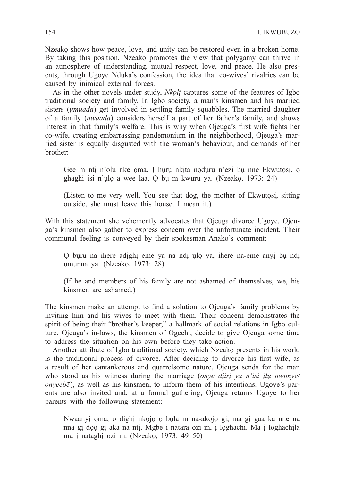Nzeako shows how peace, love, and unity can be restored even in a broken home. By taking this position, Nzeako promotes the view that polygamy can thrive in an atmosphere of understanding, mutual respect, love, and peace. He also presents, through Ugoye Nduka's confession, the idea that co-wives' rivalries can be caused by inimical external forces.

As in the other novels under study, *Nkoli* captures some of the features of Igbo traditional society and family. In Igbo society, a man's kinsmen and his married sisters *(umuada)* get involved in settling family squabbles. The married daughter of a family (*nwaada*) considers herself a part of her father's family, and shows interest in that family's welfare. This is why when Ojeuga's first wife fights her co-wife, creating embarrassing pandemonium in the neighborhood, Ojeuga's married sister is equally disgusted with the woman's behaviour, and demands of her brother:

Gee m nti n'olu nke oma. I huru nkita noduru n'ezi bu nne Ekwutosi, o ghaghi isi n'ụlọ a wee laa. Ọ bụ m kwuru ya. (Nzeakọ, 1973: 24)

(Listen to me very well. You see that dog, the mother of Ekwutọsị, sitting outside, she must leave this house. I mean it.)

With this statement she vehemently advocates that Ojeuga divorce Ugoye. Ojeuga's kinsmen also gather to express concern over the unfortunate incident. Their communal feeling is conveyed by their spokesman Anako's comment:

Ọ bụru na ihere adịghị eme ya na ndị ụlọ ya, ihere na-eme anyị bụ ndị ụmụnna ya. (Nzeakọ, 1973: 28)

(If he and members of his family are not ashamed of themselves, we, his kinsmen are ashamed.)

The kinsmen make an attempt to find a solution to Ojeuga's family problems by inviting him and his wives to meet with them. Their concern demonstrates the spirit of being their "brother's keeper," a hallmark of social relations in Igbo culture. Ojeuga's in-laws, the kinsmen of Ogechi, decide to give Ojeuga some time to address the situation on his own before they take action.

Another attribute of Igbo traditional society, which Nzeakọ presents in his work, is the traditional process of divorce. After deciding to divorce his first wife, as a result of her cantankerous and quarrelsome nature, Ojeuga sends for the man who stood as his witness during the marriage (*onye dịirị ya n'isi ịlụ nwunye/ onyeebē*), as well as his kinsmen, to inform them of his intentions. Ugoye's parents are also invited and, at a formal gathering, Ojeuga returns Ugoye to her parents with the following statement:

Nwaanyị ọma, ọ dighị nkọjọ ọ bụla m na-akọjọ gị, ma gị gaa ka nne na nna gị dọọ gị aka na ntị. Mgbe i natara ozi m, ị lọghachi. Ma ị loghachịla ma ị nataghị ozi m. (Nzeakọ, 1973: 49–50)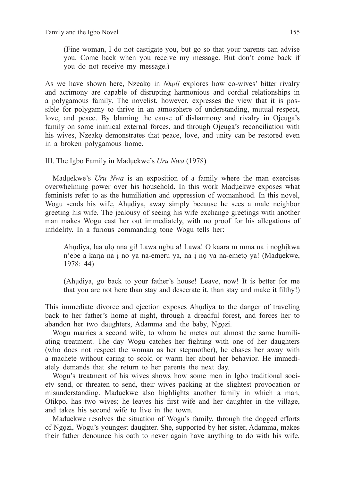(Fine woman, I do not castigate you, but go so that your parents can advise you. Come back when you receive my message. But don't come back if you do not receive my message.)

As we have shown here, Nzeakọ in *Nkọlị* explores how co-wives' bitter rivalry and acrimony are capable of disrupting harmonious and cordial relationships in a polygamous family. The novelist, however, expresses the view that it is possible for polygamy to thrive in an atmosphere of understanding, mutual respect, love, and peace. By blaming the cause of disharmony and rivalry in Ojeuga's family on some inimical external forces, and through Ojeuga's reconciliation with his wives, Nzeako demonstrates that peace, love, and unity can be restored even in a broken polygamous home.

### III. The Igbo Family in Madụekwe's *Uru Nwa* (1978)

Madụekwe's *Uru Nwa* is an exposition of a family where the man exercises overwhelming power over his household. In this work Madụekwe exposes what feminists refer to as the humiliation and oppression of womanhood. In this novel, Wogu sends his wife, Ahụdiya, away simply because he sees a male neighbor greeting his wife. The jealousy of seeing his wife exchange greetings with another man makes Wogu cast her out immediately, with no proof for his allegations of infidelity. In a furious commanding tone Wogu tells her:

Ahụdiya, laa ụlọ nna gị! Lawa ugbu a! Lawa! Ọ kaara m mma na ị noghịkwa n'ebe a karịa na ị no ya na-emeru ya, na ị nọ ya na-emetọ ya! (Madụekwe, 1978: 44)

(Ahụdiya, go back to your father's house! Leave, now! It is better for me that you are not here than stay and desecrate it, than stay and make it filthy!)

This immediate divorce and ejection exposes Ahụdiya to the danger of traveling back to her father's home at night, through a dreadful forest, and forces her to abandon her two daughters, Adamma and the baby, Ngọzi.

Wogu marries a second wife, to whom he metes out almost the same humiliating treatment. The day Wogu catches her fighting with one of her daughters (who does not respect the woman as her stepmother), he chases her away with a machete without caring to scold or warm her about her behavior. He immediately demands that she return to her parents the next day.

Wogu's treatment of his wives shows how some men in Igbo traditional society send, or threaten to send, their wives packing at the slightest provocation or misunderstanding. Madụekwe also highlights another family in which a man, Otikpo, has two wives; he leaves his first wife and her daughter in the village, and takes his second wife to live in the town.

Madụekwe resolves the situation of Wogu's family, through the dogged efforts of Ngọzi, Wogu's youngest daughter. She, supported by her sister, Adamma, makes their father denounce his oath to never again have anything to do with his wife,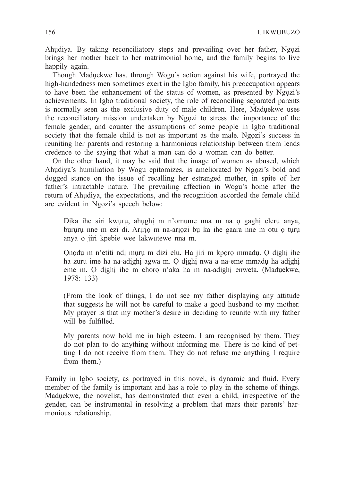Ahụdiya. By taking reconciliatory steps and prevailing over her father, Ngọzi brings her mother back to her matrimonial home, and the family begins to live happily again.

Though Madụekwe has, through Wogu's action against his wife, portrayed the high-handedness men sometimes exert in the Igbo family, his preoccupation appears to have been the enhancement of the status of women, as presented by Ngọzi's achievements. In Igbo traditional society, the role of reconciling separated parents is normally seen as the exclusive duty of male children. Here, Madụekwe uses the reconciliatory mission undertaken by Ngọzi to stress the importance of the female gender, and counter the assumptions of some people in Igbo traditional society that the female child is not as important as the male. Ngozi's success in reuniting her parents and restoring a harmonious relationship between them lends credence to the saying that what a man can do a woman can do better.

On the other hand, it may be said that the image of women as abused, which Ahudiya's humiliation by Wogu epitomizes, is ameliorated by Ngozi's bold and dogged stance on the issue of recalling her estranged mother, in spite of her father's intractable nature. The prevailing affection in Wogu's home after the return of Ahụdiya, the expectations, and the recognition accorded the female child are evident in Ngọzi's speech below:

Dịka ihe siri kwụrụ, ahụghị m n'omume nna m na ọ gaghị eleru anya, bururu nne m ezi di. Aririo m na-ariozi bụ ka ihe gaara nne m otu o turu anya o jiri kpebie wee lakwutewe nna m.

Ọnọdụ m n'etiti ndị mụrụ m dizi elu. Ha jiri m kpọrọ mmadụ. Ọ dịghị ihe ha zuru ime ha na-adịghị agwa m. Ọ dịghị nwa a na-eme mmadụ ha adịghị eme m. Ọ dịghị ihe m chorọ n'aka ha m na-adighị enweta. (Madụekwe, 1978: 133)

(From the look of things, I do not see my father displaying any attitude that suggests he will not be careful to make a good husband to my mother. My prayer is that my mother's desire in deciding to reunite with my father will be fulfilled.

My parents now hold me in high esteem. I am recognised by them. They do not plan to do anything without informing me. There is no kind of petting I do not receive from them. They do not refuse me anything I require from them.)

Family in Igbo society, as portrayed in this novel, is dynamic and fluid. Every member of the family is important and has a role to play in the scheme of things. Madụekwe, the novelist, has demonstrated that even a child, irrespective of the gender, can be instrumental in resolving a problem that mars their parents' harmonious relationship.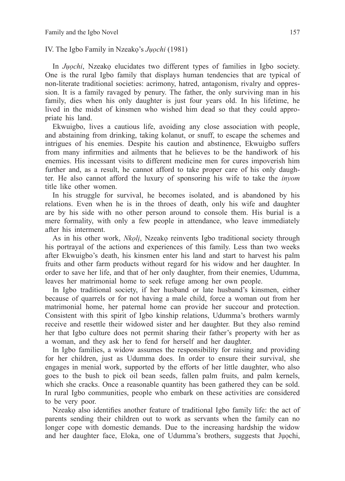IV. The Igbo Family in Nzeakọ's *Jụọchi* (1981)

In *Jụọchi*, Nzeakọ elucidates two different types of families in Igbo society. One is the rural Igbo family that displays human tendencies that are typical of non-literate traditional societies: acrimony, hatred, antagonism, rivalry and oppression. It is a family ravaged by penury. The father, the only surviving man in his family, dies when his only daughter is just four years old. In his lifetime, he lived in the midst of kinsmen who wished him dead so that they could appropriate his land.

Ekwuigbo, lives a cautious life, avoiding any close association with people, and abstaining from drinking, taking kolanut, or snuff, to escape the schemes and intrigues of his enemies. Despite his caution and abstinence, Ekwuigbo suffers from many infirmities and ailments that he believes to be the handiwork of his enemies. His incessant visits to different medicine men for cures impoverish him further and, as a result, he cannot afford to take proper care of his only daughter. He also cannot afford the luxury of sponsoring his wife to take the *inyom*  title like other women.

In his struggle for survival, he becomes isolated, and is abandoned by his relations. Even when he is in the throes of death, only his wife and daughter are by his side with no other person around to console them. His burial is a mere formality, with only a few people in attendance, who leave immediately after his interment.

As in his other work, *Nkoli*, Nzeako reinvents Igbo traditional society through his portrayal of the actions and experiences of this family. Less than two weeks after Ekwuigbo's death, his kinsmen enter his land and start to harvest his palm fruits and other farm products without regard for his widow and her daughter. In order to save her life, and that of her only daughter, from their enemies, Udumma, leaves her matrimonial home to seek refuge among her own people.

In Igbo traditional society, if her husband or late husband's kinsmen, either because of quarrels or for not having a male child, force a woman out from her matrimonial home, her paternal home can provide her succour and protection. Consistent with this spirit of Igbo kinship relations, Udumma's brothers warmly receive and resettle their widowed sister and her daughter. But they also remind her that Igbo culture does not permit sharing their father's property with her as a woman, and they ask her to fend for herself and her daughter.

In Igbo families, a widow assumes the responsibility for raising and providing for her children, just as Udumma does. In order to ensure their survival, she engages in menial work, supported by the efforts of her little daughter, who also goes to the bush to pick oil bean seeds, fallen palm fruits, and palm kernels, which she cracks. Once a reasonable quantity has been gathered they can be sold. In rural Igbo communities, people who embark on these activities are considered to be very poor.

Nzeako also identifies another feature of traditional Igbo family life: the act of parents sending their children out to work as servants when the family can no longer cope with domestic demands. Due to the increasing hardship the widow and her daughter face, Eloka, one of Udumma's brothers, suggests that Jụọchi,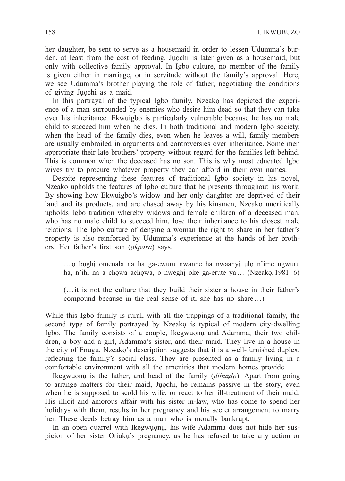her daughter, be sent to serve as a housemaid in order to lessen Udumma's burden, at least from the cost of feeding. Jụọchi is later given as a housemaid, but only with collective family approval. In Igbo culture, no member of the family is given either in marriage, or in servitude without the family's approval. Here, we see Udumma's brother playing the role of father, negotiating the conditions of giving Jụọchi as a maid.

In this portrayal of the typical Igbo family, Nzeakọ has depicted the experience of a man surrounded by enemies who desire him dead so that they can take over his inheritance. Ekwuigbo is particularly vulnerable because he has no male child to succeed him when he dies. In both traditional and modern Igbo society, when the head of the family dies, even when he leaves a will, family members are usually embroiled in arguments and controversies over inheritance. Some men appropriate their late brothers' property without regard for the families left behind. This is common when the deceased has no son. This is why most educated Igbo wives try to procure whatever property they can afford in their own names.

Despite representing these features of traditional Igbo society in his novel, Nzeako upholds the features of Igbo culture that he presents throughout his work. By showing how Ekwuigbo's widow and her only daughter are deprived of their land and its products, and are chased away by his kinsmen, Nzeako uncritically upholds Igbo tradition whereby widows and female children of a deceased man, who has no male child to succeed him, lose their inheritance to his closest male relations. The Igbo culture of denying a woman the right to share in her father's property is also reinforced by Udumma's experience at the hands of her brothers. Her father's first son (*ọkpara*) says,

…ọ bụghị omenala na ha ga-ewuru nwanne ha nwaanyị ụlọ n'ime ngwuru ha, n'ihi na a chowa achowa, o nweghi oke ga-erute ya... (Nzeako, 1981: 6)

(…it is not the culture that they build their sister a house in their father's compound because in the real sense of it, she has no share…)

While this Igbo family is rural, with all the trappings of a traditional family, the second type of family portrayed by Nzeako is typical of modern city-dwelling Igbo. The family consists of a couple, Ikegwuonu and Adamma, their two children, a boy and a girl, Adamma's sister, and their maid. They live in a house in the city of Enugu. Nzeakọ's description suggests that it is a well-furnished duplex, reflecting the family's social class. They are presented as a family living in a comfortable environment with all the amenities that modern homes provide.

Ikegwuọnụ is the father, and head of the family (*dibuụlọ*). Apart from going to arrange matters for their maid, Jụọchi, he remains passive in the story, even when he is supposed to scold his wife, or react to her ill-treatment of their maid. His illicit and amorous affair with his sister in-law, who has come to spend her holidays with them, results in her pregnancy and his secret arrangement to marry her. These deeds betray him as a man who is morally bankrupt.

In an open quarrel with Ikegwuonu, his wife Adamma does not hide her suspicion of her sister Oriakụ's pregnancy, as he has refused to take any action or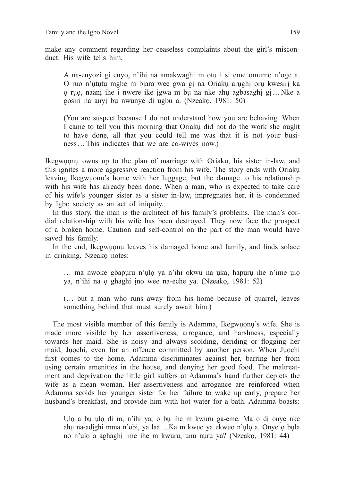make any comment regarding her ceaseless complaints about the girl's misconduct. His wife tells him,

A na-enyozi gi enyo, n'ihi na amakwaghị m otu i si eme omume n'oge a. O ruo n'ụtụtụ mgbe m bịara wee gwa gị na Oriakụ arụghị ọrụ kwesịrị ka ọ rụọ, naanị ihe i nwere ike ịgwa m bụ na nke ahụ agbasaghị gị…Nke a gosiri na anyị bụ nwunye di ugbu a. (Nzeakọ, 1981: 50)

(You are suspect because I do not understand how you are behaving. When I came to tell you this morning that Oriakụ did not do the work she ought to have done, all that you could tell me was that it is not your business…This indicates that we are co-wives now.)

Ikegwụọnụ owns up to the plan of marriage with Oriakụ, his sister in-law, and this ignites a more aggressive reaction from his wife. The story ends with Oriakụ leaving Ikegwụọnụ's home with her luggage, but the damage to his relationship with his wife has already been done. When a man, who is expected to take care of his wife's younger sister as a sister in-law, impregnates her, it is condemned by Igbo society as an act of iniquity.

In this story, the man is the architect of his family's problems. The man's cordial relationship with his wife has been destroyed. They now face the prospect of a broken home. Caution and self-control on the part of the man would have saved his family.

In the end, Ikegwụọnụ leaves his damaged home and family, and finds solace in drinking. Nzeakọ notes:

... ma nwoke gbapuru n'ulo ya n'ihi okwu na uka, hapuru ihe n'ime ulo ya, n'ihi na ọ ghaghi ịno wee na-eche ya. (Nzeakọ, 1981: 52)

(… but a man who runs away from his home because of quarrel, leaves something behind that must surely await him.)

The most visible member of this family is Adamma, Ikegwụọnụ's wife. She is made more visible by her assertiveness, arrogance, and harshness, especially towards her maid. She is noisy and always scolding, deriding or flogging her maid, Jụọchi, even for an offence committed by another person. When Jụọchi first comes to the home, Adamma discriminates against her, barring her from using certain amenities in the house, and denying her good food. The maltreatment and deprivation the little girl suffers at Adamma's hand further depicts the wife as a mean woman. Her assertiveness and arrogance are reinforced when Adamma scolds her younger sister for her failure to wake up early, prepare her husband's breakfast, and provide him with hot water for a bath. Adamma boasts:

Ụlọ a bụ ụlọ di m, n'ihi ya, ọ bụ ihe m kwuru ga-eme. Ma ọ dị onye nke ahụ na-adịghi mma n'obi, ya laa…Ka m kwuo ya ekwuo n'ụlọ a. Onye ọ bụla nọ n'ụlọ a aghaghị ime ihe m kwuru, unu nụrụ ya? (Nzeakọ, 1981: 44)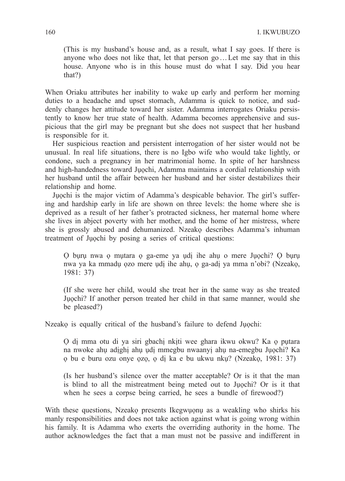(This is my husband's house and, as a result, what I say goes. If there is anyone who does not like that, let that person go…Let me say that in this house. Anyone who is in this house must do what I say. Did you hear that?)

When Oriaku attributes her inability to wake up early and perform her morning duties to a headache and upset stomach, Adamma is quick to notice, and suddenly changes her attitude toward her sister. Adamma interrogates Oriaku persistently to know her true state of health. Adamma becomes apprehensive and suspicious that the girl may be pregnant but she does not suspect that her husband is responsible for it.

Her suspicious reaction and persistent interrogation of her sister would not be unusual. In real life situations, there is no Igbo wife who would take lightly, or condone, such a pregnancy in her matrimonial home. In spite of her harshness and high-handedness toward Jụọchi, Adamma maintains a cordial relationship with her husband until the affair between her husband and her sister destabilizes their relationship and home.

Jụọchi is the major victim of Adamma's despicable behavior. The girl's suffering and hardship early in life are shown on three levels: the home where she is deprived as a result of her father's protracted sickness, her maternal home where she lives in abject poverty with her mother, and the home of her mistress, where she is grossly abused and dehumanized. Nzeakọ describes Adamma's inhuman treatment of Jụọchi by posing a series of critical questions:

Ọ bụrụ nwa ọ mụtara ọ ga-eme ya ụdị ihe ahụ o mere Jụọchi? Ọ bụrụ nwa ya ka mmadụ ọzo mere ụdị ihe ahụ, ọ ga-adị ya mma n'obi? (Nzeakọ, 1981: 37)

(If she were her child, would she treat her in the same way as she treated Jụọchi? If another person treated her child in that same manner, would she be pleased?)

Nzeakọ is equally critical of the husband's failure to defend Jụọchi:

Ọ dị mma otu di ya siri gbachị nkịti wee ghara ikwu okwu? Ka ọ pụtara na nwoke ahụ adịghị ahụ ụdị mmegbu nwaanyị ahụ na-emegbu Jụọchi? Ka ọ bu e buru ozu onye ọzọ, ọ dị ka e bu ukwu nkụ? (Nzeakọ, 1981: 37)

(Is her husband's silence over the matter acceptable? Or is it that the man is blind to all the mistreatment being meted out to Jụọchi? Or is it that when he sees a corpse being carried, he sees a bundle of firewood?)

With these questions, Nzeako presents Ikegwuonu as a weakling who shirks his manly responsibilities and does not take action against what is going wrong within his family. It is Adamma who exerts the overriding authority in the home. The author acknowledges the fact that a man must not be passive and indifferent in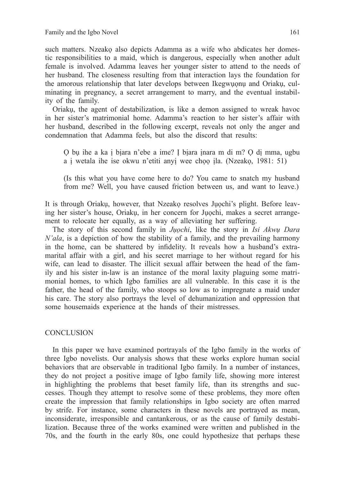such matters. Nzeakọ also depicts Adamma as a wife who abdicates her domestic responsibilities to a maid, which is dangerous, especially when another adult female is involved. Adamma leaves her younger sister to attend to the needs of her husband. The closeness resulting from that interaction lays the foundation for the amorous relationship that later develops between Ikegwụọnụ and Oriakụ, culminating in pregnancy, a secret arrangement to marry, and the eventual instability of the family.

Oriakụ, the agent of destabilization, is like a demon assigned to wreak havoc in her sister's matrimonial home. Adamma's reaction to her sister's affair with her husband, described in the following excerpt, reveals not only the anger and condemnation that Adamma feels, but also the discord that results:

Ọ bụ ihe a ka ị bịara n'ebe a ime? Ị bịara ịnara m di m? Ọ dị mma, ugbu a ị wetala ihe ise okwu n'etiti anyị wee chọọ ịla. (Nzeakọ, 1981: 51)

(Is this what you have come here to do? You came to snatch my husband from me? Well, you have caused friction between us, and want to leave.)

It is through Oriakụ, however, that Nzeakọ resolves Jụọchi's plight. Before leaving her sister's house, Oriaku, in her concern for Juochi, makes a secret arrangement to relocate her equally, as a way of alleviating her suffering.

The story of this second family in *Jụọchi*, like the story in *Isi Akwụ Dara N'ala*, is a depiction of how the stability of a family, and the prevailing harmony in the home, can be shattered by infidelity. It reveals how a husband's extramarital affair with a girl, and his secret marriage to her without regard for his wife, can lead to disaster. The illicit sexual affair between the head of the family and his sister in-law is an instance of the moral laxity plaguing some matrimonial homes, to which Igbo families are all vulnerable. In this case it is the father, the head of the family, who stoops so low as to impregnate a maid under his care. The story also portrays the level of dehumanization and oppression that some housemaids experience at the hands of their mistresses.

## **CONCLUSION**

In this paper we have examined portrayals of the Igbo family in the works of three Igbo novelists. Our analysis shows that these works explore human social behaviors that are observable in traditional Igbo family. In a number of instances, they do not project a positive image of Igbo family life, showing more interest in highlighting the problems that beset family life, than its strengths and successes. Though they attempt to resolve some of these problems, they more often create the impression that family relationships in Igbo society are often marred by strife. For instance, some characters in these novels are portrayed as mean, inconsiderate, irresponsible and cantankerous, or as the cause of family destabilization. Because three of the works examined were written and published in the 70s, and the fourth in the early 80s, one could hypothesize that perhaps these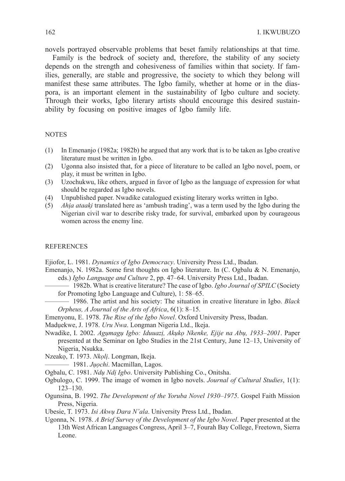novels portrayed observable problems that beset family relationships at that time.

Family is the bedrock of society and, therefore, the stability of any society depends on the strength and cohesiveness of families within that society. If families, generally, are stable and progressive, the society to which they belong will manifest these same attributes. The Igbo family, whether at home or in the diaspora, is an important element in the sustainability of Igbo culture and society. Through their works, Igbo literary artists should encourage this desired sustainability by focusing on positive images of Igbo family life.

#### **NOTES**

- (1) In Emenanjo (1982a; 1982b) he argued that any work that is to be taken as Igbo creative literature must be written in Igbo.
- (2) Ugonna also insisted that, for a piece of literature to be called an Igbo novel, poem, or play, it must be written in Igbo.
- (3) Uzochukwu, like others, argued in favor of Igbo as the language of expression for what should be regarded as Igbo novels.
- (4) Unpublished paper. Nwadike catalogued existing literary works written in Igbo.
- (5) *Ahịa ataaki*̣ translated here as 'ambush trading', was a term used by the Igbo during the Nigerian civil war to describe risky trade, for survival, embarked upon by courageous women across the enemy line.

#### **REFERENCES**

Ejiofor, L. 1981. *Dynamics of Igbo Democracy*. University Press Ltd., Ibadan.

- Emenanjo, N. 1982a. Some first thoughts on Igbo literature. In (C. Ogbalu & N. Emenanjo, eds.) *Igbo Language and Culture* 2, pp. 47–64. University Press Ltd., Ibadan.
	- 1982b. What is creative literature? The case of Igbo. *Igbo Journal of SPILC* (Society for Promoting Igbo Language and Culture), 1: 58–65.
	- 1986. The artist and his society: The situation in creative literature in Igbo. *Black Orpheus, A Journal of the Arts of Africa*, 6(1): 8–15.
- Emenyonu, E. 1978. *The Rise of the Igbo Novel*. Oxford University Press, Ibadan.

Madụekwe, J. 1978. *Uru Nwa*. Longman Nigeria Ltd., Ikeja.

- Nwadike, I. 2002. *Agụmagụ Igbo: Iduuazị, Akụkọ Nkenke, Ejije na Abụ, 1933–2001*. Paper presented at the Seminar on Igbo Studies in the 21st Century, June 12–13, University of Nigeria, Nsukka.
- 
- Nzeako, T. 1973. *Nkọlị*. Longman, Ikeja.<br>
 1981. *Jụọchi*. Macmillan, Lagos.<br>
Oshelu C. 1981. *Nau Mai Ishe*, University.
- Ogbalu, C. 1981. *Ndụ Ndị Igbo*. University Publishing Co., Onitsha.
- Ogbulogo, C. 1999. The image of women in Igbo novels. *Journal of Cultural Studies*, 1(1): 123–130.
- Ogunsina, B. 1992. *The Development of the Yoruba Novel 1930–1975*. Gospel Faith Mission Press, Nigeria.
- Ubesie, T. 1973. *Isi Akwụ Dara N'ala*. University Press Ltd., Ibadan.
- Ugonna, N. 1978. *A Brief Survey of the Development of the Igbo Novel*. Paper presented at the 13th West African Languages Congress, April 3–7, Fourah Bay College, Freetown, Sierra Leone.